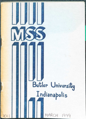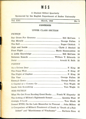# **MSS**

A Student Edited Quarterly

Sponsored by the English Department of Butler University

| Vol. XVI | March, 1949 | No. 2 |
|----------|-------------|-------|
|          |             |       |

#### **CONTENTS**

#### UPPER CLASS SECTION

## FICTION Say Grace For Gramma Bill McCann 1 The Miracle George Fullen 3 The Ball **Roger Chittick** 7 High and Inside Clyde J. Steckel 12 First Flight Marie Hammontree 15 A Little Knowledge Bill McCann 18 Between Rounds William T. Edwards 19 Daisy Arnold H. Balk 22 POETRY As a Driven Deer F. King 26 The Peace Wait F. King 27 The Flight of Daphne F. King 28 The Vase Manual Committee Controller and Vase Fullen 28 Exempli Gratr» George Fullen 29 A Capital or a Comma Go Tom Wagle 30 Sands Into Something Tom Wagle 31 NON-FICTION What We Get From Reading Great Books ........ Frank W. Slupesky 33 The Setting of Milton's Eighteenth Sonnet ................ Quentin West 37 Avenge, 0 Lord Tom Misch 39 Sonnet XVIII, On the Late Massacher in Piemont .... John Milton 40 A Comparison of Milton's Treatment of Death in "Death of a Fair Infant" and "Marchioness of Winchester" ........ Barbara Sims 41